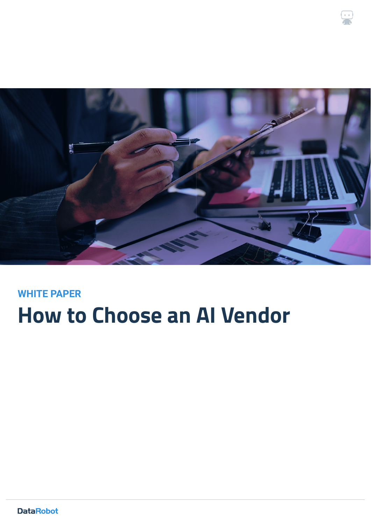

 $\cdot$ 

# **How to Choose an AI Vendor WHITE PAPER**

**DataRobot**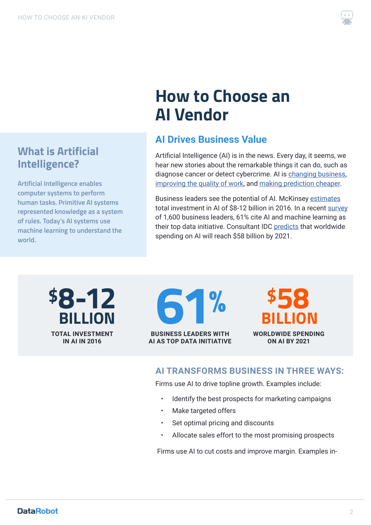**What is Artificial** 

**Artificial Intelligence enables computer systems to perform human tasks. Primitive AI systems represented knowledge as a system of rules. Today's AI systems use machine learning to understand the** 

**Intelligence?**

**world.**



# **How to Choose an AI Vendor**

# **AI Drives Business Value**

Artificial Intelligence (AI) is in the news. Every day, it seems, we hear new stories about the remarkable things it can do, such as diagnose cancer or detect cybercrime. AI is [changing business](https://hbr.org/ideacast/2017/07/how-ai-is-already-changing-business.html), [improving the quality of work,](https://hbr.org/ideacast/2018/04/how-ai-can-improve-how-we-work) and [making prediction cheaper.](https://hbr.org/ideacast/2018/05/how-ai-is-making-prediction-cheaper.html)

Business leaders see the potential of AI. McKinsey [estimates](https://www.mckinsey.com/~/media/McKinsey/Industries/Advanced%20Electronics/Our%20Insights/How%20artificial%20intelligence%20can%20deliver%20real%20value%20to%20companies/MGI-Artificial-Intelligence-Discussion-paper.ashx) total investment in AI of \$8-12 billion in 2016. In a recent [survey](http://blog.memsql.com/2018-outlook-machine-learning-and-artificial-intelligence/) of 1,600 business leaders, 61% cite AI and machine learning as their top data initiative. Consultant IDC [predicts](https://www.idc.com/getdoc.jsp?containerId=prUS43095417) that worldwide spending on AI will reach \$58 billion by 2021.

**TOTAL INVESTMENT IN AI IN 2016 8-12 61% BILLION BILLION**

**BUSINESS LEADERS WITH**

**AI AS TOP DATA INITIATIVE**

**WORLDWIDE SPENDING ON AI BY 2021**

### **AI TRANSFORMS BUSINESS IN THREE WAYS:**

Firms use AI to drive topline growth. Examples include:

- Identify the best prospects for marketing campaigns
- Make targeted offers
- Set optimal pricing and discounts
- Allocate sales effort to the most promising prospects

Firms use AI to cut costs and improve margin. Examples in-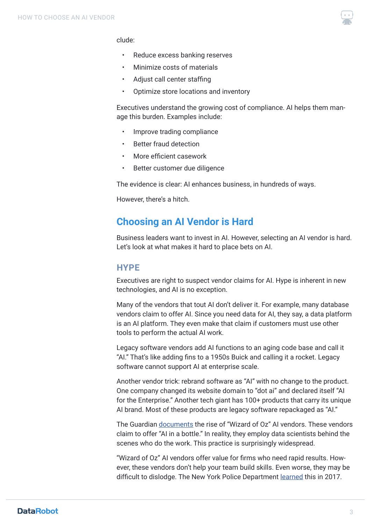

#### clude:

- Reduce excess banking reserves
- Minimize costs of materials
- Adjust call center staffing
- Optimize store locations and inventory

Executives understand the growing cost of compliance. AI helps them manage this burden. Examples include:

- Improve trading compliance
- **Better fraud detection**
- More efficient casework
- Better customer due diligence

The evidence is clear: AI enhances business, in hundreds of ways.

However, there's a hitch.

### **Choosing an AI Vendor is Hard**

Business leaders want to invest in AI. However, selecting an AI vendor is hard. Let's look at what makes it hard to place bets on AI.

#### **HYPE**

Executives are right to suspect vendor claims for AI. Hype is inherent in new technologies, and AI is no exception.

Many of the vendors that tout AI don't deliver it. For example, many database vendors claim to offer AI. Since you need data for AI, they say, a data platform is an AI platform. They even make that claim if customers must use other tools to perform the actual AI work.

Legacy software vendors add AI functions to an aging code base and call it "AI." That's like adding fins to a 1950s Buick and calling it a rocket. Legacy software cannot support AI at enterprise scale.

Another vendor trick: rebrand software as "AI" with no change to the product. One company changed its website domain to "dot ai" and declared itself "AI for the Enterprise." Another tech giant has 100+ products that carry its unique AI brand. Most of these products are legacy software repackaged as "AI."

The Guardian [documents](https://www.theguardian.com/technology/2018/jul/06/artificial-intelligence-ai-humans-bots-tech-companies) the rise of "Wizard of Oz" AI vendors. These vendors claim to offer "AI in a bottle." In reality, they employ data scientists behind the scenes who do the work. This practice is surprisingly widespread.

"Wizard of Oz" AI vendors offer value for firms who need rapid results. However, these vendors don't help your team build skills. Even worse, they may be difficult to dislodge. The New York Police Department **learned** this in 2017.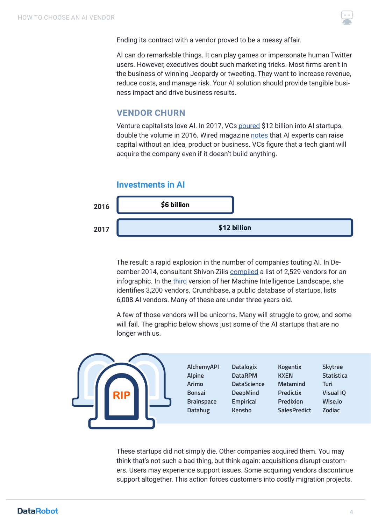

Ending its contract with a vendor proved to be a messy affair.

AI can do remarkable things. It can play games or impersonate human Twitter users. However, executives doubt such marketing tricks. Most firms aren't in the business of winning Jeopardy or tweeting. They want to increase revenue, reduce costs, and manage risk. Your AI solution should provide tangible business impact and drive business results.

### **VENDOR CHURN**

Venture capitalists love AI. In 2017, VCs [poured](https://www.scmp.com/business/banking-finance/article/2129576/venture-capital-investment-ai-doubles-us12-billion-2017) \$12 billion into AI startups, double the volume in 2016. Wired magazine [notes](https://www.wired.com/story/where-vcs-will-invest-in-2018-blockchain-ai-voice-pets/) that AI experts can raise capital without an idea, product or business. VCs figure that a tech giant will acquire the company even if it doesn't build anything.

#### **Investments in AI**



The result: a rapid explosion in the number of companies touting AI. In December 2014, consultant Shivon Zilis [compiled](https://medium.com/@shivon/the-current-state-of-machine-intelligence-f76c20db2fe1) a list of 2,529 vendors for an infographic. In the [third](https://www.oreilly.com/ideas/the-current-state-of-machine-intelligence-3-0) version of her Machine Intelligence Landscape, she identifies 3,200 vendors. Crunchbase, a public database of startups, lists 6,008 AI vendors. Many of these are under three years old.

A few of those vendors will be unicorns. Many will struggle to grow, and some will fail. The graphic below shows just some of the AI startups that are no longer with us.



These startups did not simply die. Other companies acquired them. You may think that's not such a bad thing, but think again: acquisitions disrupt customers. Users may experience support issues. Some acquiring vendors discontinue support altogether. This action forces customers into costly migration projects.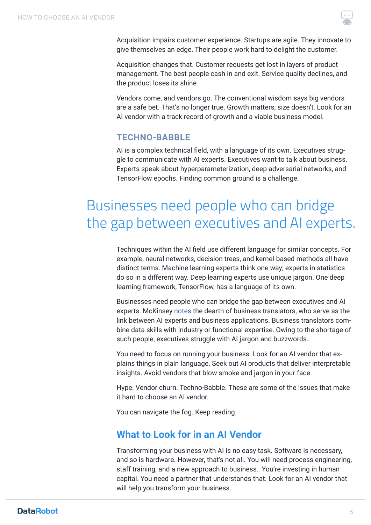

Acquisition impairs customer experience. Startups are agile. They innovate to give themselves an edge. Their people work hard to delight the customer.

Acquisition changes that. Customer requests get lost in layers of product management. The best people cash in and exit. Service quality declines, and the product loses its shine.

Vendors come, and vendors go. The conventional wisdom says big vendors are a safe bet. That's no longer true. Growth matters; size doesn't. Look for an AI vendor with a track record of growth and a viable business model.

### **TECHNO-BABBLE**

AI is a complex technical field, with a language of its own. Executives struggle to communicate with AI experts. Executives want to talk about business. Experts speak about hyperparameterization, deep adversarial networks, and TensorFlow epochs. Finding common ground is a challenge.

# Businesses need people who can bridge the gap between executives and AI experts.

Techniques within the AI field use different language for similar concepts. For example, neural networks, decision trees, and kernel-based methods all have distinct terms. Machine learning experts think one way; experts in statistics do so in a different way. Deep learning experts use unique jargon. One deep learning framework, TensorFlow, has a language of its own.

Businesses need people who can bridge the gap between executives and AI experts. McKinsey [notes](https://www.mckinsey.com/~/media/McKinsey/Business%20Functions/McKinsey%20Analytics/Our%20Insights/The%20age%20of%20analytics%20Competing%20in%20a%20data%20driven%20world/MGI-The-Age-of-Analytics-Full-report.ashx) the dearth of business translators, who serve as the link between AI experts and business applications. Business translators combine data skills with industry or functional expertise. Owing to the shortage of such people, executives struggle with AI jargon and buzzwords.

You need to focus on running your business. Look for an AI vendor that explains things in plain language. Seek out AI products that deliver interpretable insights. Avoid vendors that blow smoke and jargon in your face.

Hype. Vendor churn. Techno-Babble. These are some of the issues that make it hard to choose an AI vendor.

You can navigate the fog. Keep reading.

## **What to Look for in an AI Vendor**

Transforming your business with AI is no easy task. Software is necessary, and so is hardware. However, that's not all. You will need process engineering, staff training, and a new approach to business. You're investing in human capital. You need a partner that understands that. Look for an AI vendor that will help you transform your business.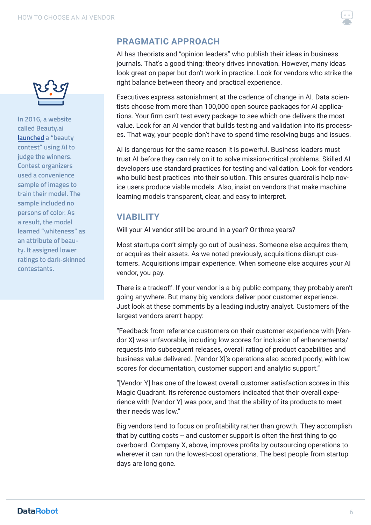

**In 2016, a website called Beauty.ai [launched](https://www.theguardian.com/technology/2016/sep/08/artificial-intelligence-beauty-contest-doesnt-like-black-people) a "beauty contest" using AI to judge the winners. Contest organizers used a convenience sample of images to train their model. The sample included no persons of color. As a result, the model learned "whiteness" as an attribute of beauty. It assigned lower ratings to dark-skinned contestants.** 

## **PRAGMATIC APPROACH**

AI has theorists and "opinion leaders" who publish their ideas in business journals. That's a good thing: theory drives innovation. However, many ideas look great on paper but don't work in practice. Look for vendors who strike the right balance between theory and practical experience.

Executives express astonishment at the cadence of change in AI. Data scientists choose from more than 100,000 open source packages for AI applications. Your firm can't test every package to see which one delivers the most value. Look for an AI vendor that builds testing and validation into its processes. That way, your people don't have to spend time resolving bugs and issues.

AI is dangerous for the same reason it is powerful. Business leaders must trust AI before they can rely on it to solve mission-critical problems. Skilled AI developers use standard practices for testing and validation. Look for vendors who build best practices into their solution. This ensures guardrails help novice users produce viable models. Also, insist on vendors that make machine learning models transparent, clear, and easy to interpret.

## **VIABILITY**

Will your AI vendor still be around in a year? Or three years?

Most startups don't simply go out of business. Someone else acquires them, or acquires their assets. As we noted previously, acquisitions disrupt customers. Acquisitions impair experience. When someone else acquires your AI vendor, you pay.

There is a tradeoff. If your vendor is a big public company, they probably aren't going anywhere. But many big vendors deliver poor customer experience. Just look at these comments by a leading industry analyst. Customers of the largest vendors aren't happy:

"Feedback from reference customers on their customer experience with [Vendor X] was unfavorable, including low scores for inclusion of enhancements/ requests into subsequent releases, overall rating of product capabilities and business value delivered. [Vendor X]'s operations also scored poorly, with low scores for documentation, customer support and analytic support."

"[Vendor Y] has one of the lowest overall customer satisfaction scores in this Magic Quadrant. Its reference customers indicated that their overall experience with [Vendor Y] was poor, and that the ability of its products to meet their needs was low."

Big vendors tend to focus on profitability rather than growth. They accomplish that by cutting costs -- and customer support is often the first thing to go overboard. Company X, above, improves profits by outsourcing operations to wherever it can run the lowest-cost operations. The best people from startup days are long gone.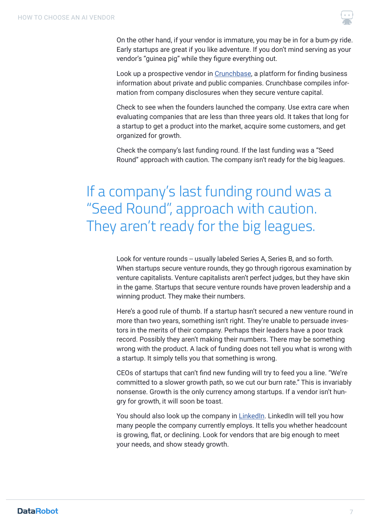

On the other hand, if your vendor is immature, you may be in for a bum-py ride. Early startups are great if you like adventure. If you don't mind serving as your vendor's "guinea pig" while they figure everything out.

Look up a prospective vendor in [Crunchbase](https://www.crunchbase.com/), a platform for finding business information about private and public companies. Crunchbase compiles information from company disclosures when they secure venture capital.

Check to see when the founders launched the company. Use extra care when evaluating companies that are less than three years old. It takes that long for a startup to get a product into the market, acquire some customers, and get organized for growth.

Check the company's last funding round. If the last funding was a "Seed Round" approach with caution. The company isn't ready for the big leagues.

# If a company's last funding round was a "Seed Round", approach with caution. They aren't ready for the big leagues.

Look for venture rounds -- usually labeled Series A, Series B, and so forth. When startups secure venture rounds, they go through rigorous examination by venture capitalists. Venture capitalists aren't perfect judges, but they have skin in the game. Startups that secure venture rounds have proven leadership and a winning product. They make their numbers.

Here's a good rule of thumb. If a startup hasn't secured a new venture round in more than two years, something isn't right. They're unable to persuade investors in the merits of their company. Perhaps their leaders have a poor track record. Possibly they aren't making their numbers. There may be something wrong with the product. A lack of funding does not tell you what is wrong with a startup. It simply tells you that something is wrong.

CEOs of startups that can't find new funding will try to feed you a line. "We're committed to a slower growth path, so we cut our burn rate." This is invariably nonsense. Growth is the only currency among startups. If a vendor isn't hungry for growth, it will soon be toast.

You should also look up the company in [LinkedIn.](https://www.linkedin.com/feed/) LinkedIn will tell you how many people the company currently employs. It tells you whether headcount is growing, flat, or declining. Look for vendors that are big enough to meet your needs, and show steady growth.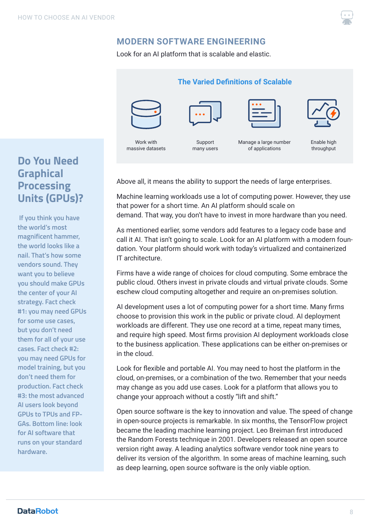

### **MODERN SOFTWARE ENGINEERING**

Look for an AI platform that is scalable and elastic.



Work with massive datasets

Support many users

Manage a large number of applications



#### Enable high throughput

# **Do You Need Graphical Processing Units (GPUs)?**

 **If you think you have the world's most magnificent hammer, the world looks like a nail. That's how some vendors sound. They want you to believe you should make GPUs the center of your AI strategy. Fact check #1: you may need GPUs for some use cases, but you don't need them for all of your use cases. Fact check #2: you may need GPUs for model training, but you don't need them for production. Fact check #3: the most advanced AI users look beyond GPUs to TPUs and FP-GAs. Bottom line: look for AI software that runs on your standard hardware.** 

Above all, it means the ability to support the needs of large enterprises.

Machine learning workloads use a lot of computing power. However, they use that power for a short time. An AI platform should scale on demand. That way, you don't have to invest in more hardware than you need.

As mentioned earlier, some vendors add features to a legacy code base and call it AI. That isn't going to scale. Look for an AI platform with a modern foundation. Your platform should work with today's virtualized and containerized IT architecture.

Firms have a wide range of choices for cloud computing. Some embrace the public cloud. Others invest in private clouds and virtual private clouds. Some eschew cloud computing altogether and require an on-premises solution.

AI development uses a lot of computing power for a short time. Many firms choose to provision this work in the public or private cloud. AI deployment workloads are different. They use one record at a time, repeat many times, and require high speed. Most firms provision AI deployment workloads close to the business application. These applications can be either on-premises or in the cloud.

Look for flexible and portable AI. You may need to host the platform in the cloud, on-premises, or a combination of the two. Remember that your needs may change as you add use cases. Look for a platform that allows you to change your approach without a costly "lift and shift."

Open source software is the key to innovation and value. The speed of change in open-source projects is remarkable. In six months, the TensorFlow project became the leading machine learning project. Leo Breiman first introduced the Random Forests technique in 2001. Developers released an open source version right away. A leading analytics software vendor took nine years to deliver its version of the algorithm. In some areas of machine learning, such as deep learning, open source software is the only viable option.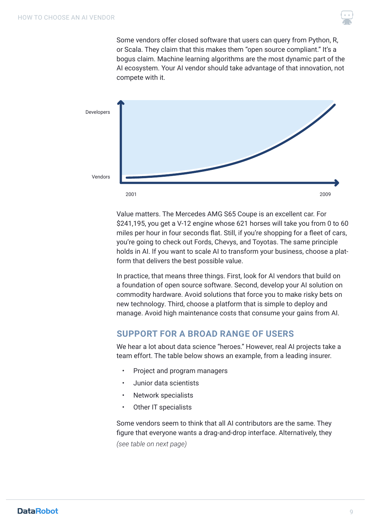Some vendors offer closed software that users can query from Python, R, or Scala. They claim that this makes them "open source compliant." It's a bogus claim. Machine learning algorithms are the most dynamic part of the AI ecosystem. Your AI vendor should take advantage of that innovation, not compete with it.



Value matters. The Mercedes AMG S65 Coupe is an excellent car. For \$241,195, you get a V-12 engine whose 621 horses will take you from 0 to 60 miles per hour in four seconds flat. Still, if you're shopping for a fleet of cars, you're going to check out Fords, Chevys, and Toyotas. The same principle holds in AI. If you want to scale AI to transform your business, choose a platform that delivers the best possible value.

In practice, that means three things. First, look for AI vendors that build on a foundation of open source software. Second, develop your AI solution on commodity hardware. Avoid solutions that force you to make risky bets on new technology. Third, choose a platform that is simple to deploy and manage. Avoid high maintenance costs that consume your gains from AI.

### **SUPPORT FOR A BROAD RANGE OF USERS**

We hear a lot about data science "heroes." However, real AI projects take a team effort. The table below shows an example, from a leading insurer.

- Project and program managers
- Junior data scientists
- Network specialists
- Other IT specialists

Some vendors seem to think that all AI contributors are the same. They figure that everyone wants a drag-and-drop interface. Alternatively, they *(see table on next page)*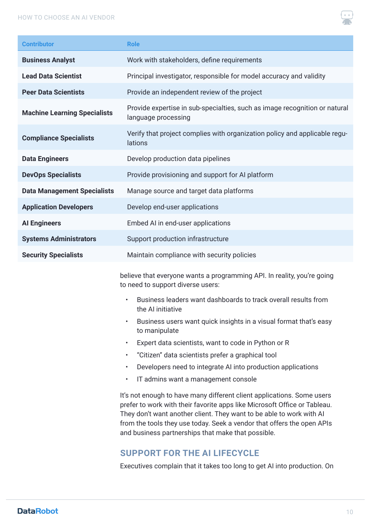#### HOW TO CHOOSE AN AI VENDOR



| <b>Contributor</b>                  | <b>Role</b>                                                                                       |
|-------------------------------------|---------------------------------------------------------------------------------------------------|
| <b>Business Analyst</b>             | Work with stakeholders, define requirements                                                       |
| <b>Lead Data Scientist</b>          | Principal investigator, responsible for model accuracy and validity                               |
| <b>Peer Data Scientists</b>         | Provide an independent review of the project                                                      |
| <b>Machine Learning Specialists</b> | Provide expertise in sub-specialties, such as image recognition or natural<br>language processing |
| <b>Compliance Specialists</b>       | Verify that project complies with organization policy and applicable regu-<br>lations             |
| <b>Data Engineers</b>               | Develop production data pipelines                                                                 |
| <b>DevOps Specialists</b>           | Provide provisioning and support for AI platform                                                  |
| <b>Data Management Specialists</b>  | Manage source and target data platforms                                                           |
| <b>Application Developers</b>       | Develop end-user applications                                                                     |
| <b>Al Engineers</b>                 | Embed AI in end-user applications                                                                 |
| <b>Systems Administrators</b>       | Support production infrastructure                                                                 |
| <b>Security Specialists</b>         | Maintain compliance with security policies                                                        |
|                                     |                                                                                                   |

believe that everyone wants a programming API. In reality, you're going to need to support diverse users:

- Business leaders want dashboards to track overall results from the AI initiative
- Business users want quick insights in a visual format that's easy to manipulate
- Expert data scientists, want to code in Python or R
- "Citizen" data scientists prefer a graphical tool
- Developers need to integrate AI into production applications
- IT admins want a management console

It's not enough to have many different client applications. Some users prefer to work with their favorite apps like Microsoft Office or Tableau. They don't want another client. They want to be able to work with AI from the tools they use today. Seek a vendor that offers the open APIs and business partnerships that make that possible.

### **SUPPORT FOR THE AI LIFECYCLE**

Executives complain that it takes too long to get AI into production. On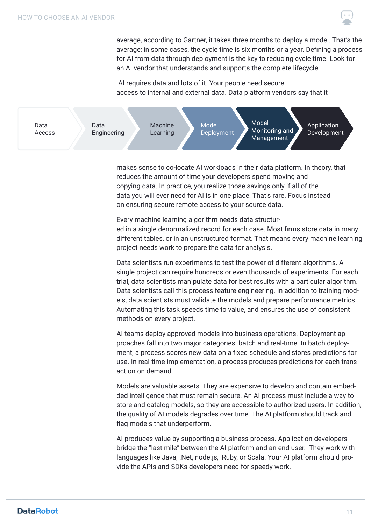

average, according to Gartner, it takes three months to deploy a model. That's the average; in some cases, the cycle time is six months or a year. Defining a process for AI from data through deployment is the key to reducing cycle time. Look for an AI vendor that understands and supports the complete lifecycle.

 AI requires data and lots of it. Your people need secure access to internal and external data. Data platform vendors say that it



makes sense to co-locate AI workloads in their data platform. In theory, that reduces the amount of time your developers spend moving and copying data. In practice, you realize those savings only if all of the data you will ever need for AI is in one place. That's rare. Focus instead on ensuring secure remote access to your source data.

Every machine learning algorithm needs data structured in a single denormalized record for each case. Most firms store data in many different tables, or in an unstructured format. That means every machine learning project needs work to prepare the data for analysis.

Data scientists run experiments to test the power of different algorithms. A single project can require hundreds or even thousands of experiments. For each trial, data scientists manipulate data for best results with a particular algorithm. Data scientists call this process feature engineering. In addition to training models, data scientists must validate the models and prepare performance metrics. Automating this task speeds time to value, and ensures the use of consistent methods on every project.

AI teams deploy approved models into business operations. Deployment approaches fall into two major categories: batch and real-time. In batch deployment, a process scores new data on a fixed schedule and stores predictions for use. In real-time implementation, a process produces predictions for each transaction on demand.

Models are valuable assets. They are expensive to develop and contain embedded intelligence that must remain secure. An AI process must include a way to store and catalog models, so they are accessible to authorized users. In addition, the quality of AI models degrades over time. The AI platform should track and flag models that underperform.

AI produces value by supporting a business process. Application developers bridge the "last mile" between the AI platform and an end user. They work with languages like Java, .Net, node.js, Ruby, or Scala. Your AI platform should provide the APIs and SDKs developers need for speedy work.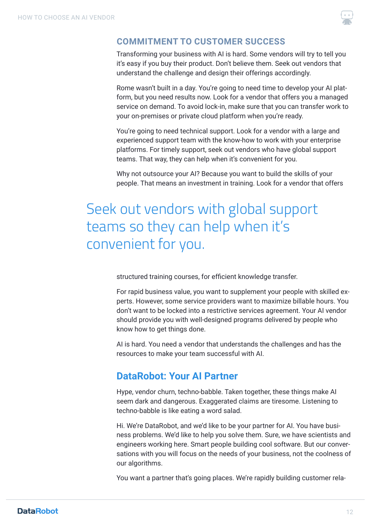

#### **COMMITMENT TO CUSTOMER SUCCESS**

Transforming your business with AI is hard. Some vendors will try to tell you it's easy if you buy their product. Don't believe them. Seek out vendors that understand the challenge and design their offerings accordingly.

Rome wasn't built in a day. You're going to need time to develop your AI platform, but you need results now. Look for a vendor that offers you a managed service on demand. To avoid lock-in, make sure that you can transfer work to your on-premises or private cloud platform when you're ready.

You're going to need technical support. Look for a vendor with a large and experienced support team with the know-how to work with your enterprise platforms. For timely support, seek out vendors who have global support teams. That way, they can help when it's convenient for you.

Why not outsource your AI? Because you want to build the skills of your people. That means an investment in training. Look for a vendor that offers

# Seek out vendors with global support teams so they can help when it's convenient for you.

structured training courses, for efficient knowledge transfer.

For rapid business value, you want to supplement your people with skilled experts. However, some service providers want to maximize billable hours. You don't want to be locked into a restrictive services agreement. Your AI vendor should provide you with well-designed programs delivered by people who know how to get things done.

AI is hard. You need a vendor that understands the challenges and has the resources to make your team successful with AI.

### **DataRobot: Your AI Partner**

Hype, vendor churn, techno-babble. Taken together, these things make AI seem dark and dangerous. Exaggerated claims are tiresome. Listening to techno-babble is like eating a word salad.

Hi. We're DataRobot, and we'd like to be your partner for AI. You have business problems. We'd like to help you solve them. Sure, we have scientists and engineers working here. Smart people building cool software. But our conversations with you will focus on the needs of your business, not the coolness of our algorithms.

You want a partner that's going places. We're rapidly building customer rela-